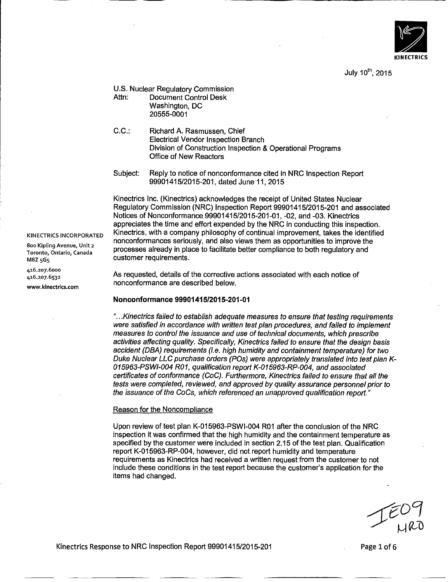

July **<sup>1</sup> <sup>0</sup> th,** 2015

U.S. Nuclear Regulatory Commission Attn: Document Control Desk Washington, DC 20555-0001

C.C.: Richard A. Rasmussen, Chief Electrical Vendor Inspection Branch Division of Construction Inspection & Operational Programs Office of New Reactors

Subject: Reply to notice of nonconformance cited in NRC Inspection Report 99901415/2015-201, dated June 11, 2015

Kinectrics Inc. (Kinectrics) acknowledges the receipt of United States Nuclear Regulatory Commission (NRC) Inspection Report 99901415/2015-201 and associated Notices of Nonconformance 99901415/2015-201-01, -02, and -03. Kinectrics appreciates the time and effort expended by the NRC in conducting this inspection. Kinectrics, with a company philosophy of continual improvement, takes the identified nonconformances seriously, and also views them as opportunities to improve the processes already in place to facilitate better compliance to both regulatory and customer requirements.

As requested, details of the corrective actions associated with each notice of nonconformance are described below.

#### **Nonconformance 9990141512015-201-01**

*"..Kinectrics failed to establish adequate measures to ensure that testing requirements were satisfied in accordance with written test plan procedures, and failed to implement measures to control the issuance and use of technical documents, which prescribe activities affecting quality. Specifically, Kinectrics failed to ensure that the design basis accident (DBA) requirements (i.e. high humidity and containment temperature) for two* Duke Nuclear LLC purchase orders (POs) were appropriately translated into test plan K-*015963-PS WI-O04 R0I, qualification report K-O15963-RP-O04, and associated certificates of conformance (Co C). Furthermore, Kinectrics failed to ensure that all the tests were completed, reviewed, and approved by quality assurance personnel prior to the issuance of the Co Cs, which referenced an unapproved qualification report."*

#### Reason for the Noncompliance

Upon review of test plan K-01 5963-PSWl-004 R01 after the conclusion of the NRC inspection it was confirmed that the high humidity and the containment temperature as specified by the customer were included in section 2.15 of the test plan. Qualification report K-01 5963-RP-004, however, did not report humidity and temperature requirements as Kinectrics had received a written request from the customer to not include these conditions in the test report because the customer's application for the items had changed.

Kinectrics Response to NRC Inspection Report 99901415/2015-201

**KINECTRICS INCORPORATED 8oo Kipling Avenue, Unit 2**

**Toronto, Ontario, Canada M8Z 5G5**

**416.207.6000 416.207.6532**

**www. kinectrics.com**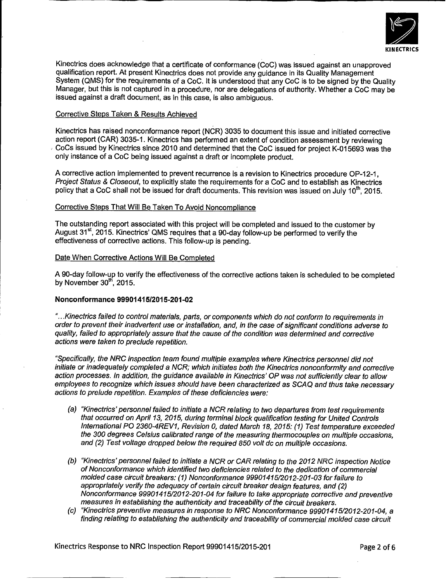

Kinectrics does acknowledge that a certificate of conformance (CoC) was issued against an unapproved qualification report. At present Kinectrics does not provide any guidance in its Quality Management System (QMS) for the requirements of a CoC. It is understood that any CoC is to be signed by the Quality Manager, but this is not captured in a procedure, nor are delegations of authority. Whether a CoC may be issued against a draft document, as in this case, is also ambiguous.

# Corrective Steps Taken & Results Achieved

Kinectrics has raised nonconformance report (NCR) 3035 to document this issue and initiated corrective action report (CAR) 3035-1. Kinectrics has performed an extent of condition assessment by reviewing CoCs issued by Kinectrics since 2010 and determined that the CoC issued for project K-01 5693 was the only instance of a CoC being issued against a draft or incomplete product.

A corrective action implemented to prevent recurrence is a revision to Kinectrics procedure OP-12-1, *Project Status & Closeout,* to explicitly state the requirements for a CoC and to establish as Kinectrics policy that a CoC shall not be issued for draft documents. This revision was issued on July 10<sup>th</sup>, 2015.

# Corrective Steps That Will Be Taken To Avoid Noncompliance

The outstanding report associated with this project will be completed and issued to the customer by August 31<sup>st</sup>, 2015. Kinectrics' QMS requires that a 90-day follow-up be performed to verify the effectiveness of corrective actions. This follow-up is pending.

### Date When Corrective Actions Will Be Completed

A 90-day follow-up to verify the effectiveness of the corrective actions taken is scheduled to be completed by November  $30<sup>th</sup>$ , 2015.

# **Nonconformance** *99901415/2015-201-02*

*"..Kinectrics failed to control materials,* **parts,** *or components which do not conform to requirements in order to prevent their inadvertent use or installation, and, in the case of significant conditions adverse to quality, failed to appropriately assure that the cause of the condition was determined and corrective actions were taken to preclude repetition.*

*"Specifically, the NRC inspection team found multiple examples where Kinectrics personnel did not initiate or inadequately completed a NCR; which initiates both the Kinectrics nonconformity and corrective action processes. In addition, the guidance available in Kinectrics' OP was not sufficiently clear to allow employees to recognize which issues should have been characterized as SCAQ and thus take, necessary actions to prelude repetition. Examples of these deficiencies were:*

- *(a) "Kinectrics' personnel failed to initiate a NCR relating to two departures from test requirements that occurred on April 13, 2015, during terminal block qualfification testing for United Controls International P0 2360-4RE VI, Revision* 0, *dated March 18, 2015: (1) Test temperature exceeded the 300 degrees Celsius calibrated range of the measuring thermocouples on multiple occasions, and (2) Test voltage dropped below the required 850 volt dc on multiple occasions.*
- *(b) "Kinectrics' personnel failed to initiate a NCR or CAR relating to the 2012 NRC inspection Notice of Nonconformance which identified two deficiencies related to the dedication of commercial molded case circuit breakers: (1) Nonconformance 999014 15/2012-201-03 for failure to* molded case circuit breakers: (1) Nonconformance 99901415/2012-201-03 for failure to<br>appropriately verify the adequacy of certain circuit breaker design features, and (2) *Nonconformance 999014 15/2012-201-04 for failure to take appropriate corrective and preventive* measures in establishing the authenticity and traceability of the circuit breakers.
- *(c) "Kinectrics preventive measures in response to NRC Nonconformance 99901415/2012-201-04, a finding relating to establishing the authenticity and traceability of commercial molded case circuit*

Kinectrics Response to NRC Inspection Report 99901415/2015-201 Fage 2 of 6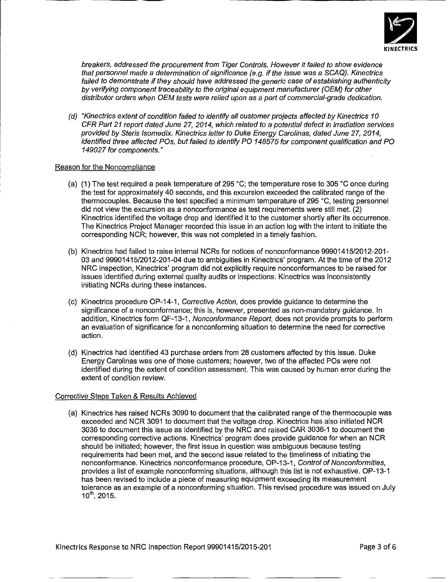

*breakers, addressed the procurement from Tiger Controls. However it failed to show evidence that personnel made a determination of significance (e.g. if the issue was a SCAQ). Kinectrics failed to demonstrate if they should have addressed the generic case of establishing authenticity by verifying component traceability to the original equipment manufacturer (OEM) for other distributor orders when OEM tests were relied upon as a part of commercial-grade dedication.*

*(d) "Kinectrics extent of condition failed to identify all customer projects affected by Kinectrics 10 CFR Part 21 report dated June 27, 2014, which related to a potential defect in irradiation services provided by Steris Isomedix. Kinectrics letter to Duke Energy Carolinas, dated June 27, 2014, identified three affected POs, but failed to identify P0 148575 for component qualification and P0 149027 for components."*

# Reason for the Noncompliance

- (a) (1) The test required a peak temperature of 295 **0C;** the temperature rose to 305 **00** once during the test for approximately 40 seconds, and this excursion exceeded the calibrated range of the thermocouples. Because the test specified a minimum temperature of 295 **00,** testing personnel did not view the excursion as a nonconformance as test requirements were still met. (2) Kinectrics identified the voltage drop and identified it to the customer shortly after its occurrence. The Kinectrics Project Manager recorded this issue in an action log with the intent to initiate the corresponding NCR; however, this was not completed in a timely fashion.
- (b) Kinectrics had failed to raise internal NCRs for notices of nonconformance 9990141 5/201 2-201- 03 and 99901415/2012-201-04 due to ambiguities in Kinectrics' program. At the time of the 2012 NRC inspection, Kinectrics' program did not explicitly require nonconformances to be raised for issues identified during external quality audits or inspections: Kinectrics was inconsistently initiating NCRs during these instances.
- (c) Kinectrics procedure OP-i14-1, *Corrective Action,* does provide guidance to determine the significance of a nonconformance; this is, however, presented as non-mandatory guidance. In addition, Kinectrics form QF-13-1, *Nonconformance Report*, does not provide prompts to perform an evaluation of significance for a nonconforming situation to determine the need for corrective action.
- (d) Kinectrics had identified 43 purchase orders from 28 customers affected by this issue. Duke Energy Carolinas was one of those customers; however, two of the affected POs were not identified during the extent of condition assessment. This was caused by human error during the extent of condition review.

# Corrective Steps Taken & Results Achieved

(a) Kinectrics has raised NCRs 3090 to document that the calibrated range of the thermocouple was exceeded and NCR 3091 to document that the voltage drop. Kinectrics has also initiated NCR 3036 to document this issue as identified by the NRC and raised CAR 3036-1 to document the corresponding corrective actions. Kinectrics' program does provide guidance for when an NCR should be initiated; however, the first issue in question was ambiguous because testing requirements had been met, and the second issue related to the timeliness of initiating the nonconformance. Ki nectrics nonconformance procedure, OP-i13-1, *Control of Nonconformities,* provides a list of example nonconforming situations, although this list is not exhaustive. OP-13-1 has been revised to include a piece of measuring equipment exceeding its measurement tolerance as an example of a nonconforming situation. This revised procedure was issued on July  $10^{th}$ , 2015.

Kinectrics Response to NRC Inspection Report 99901415/2015-201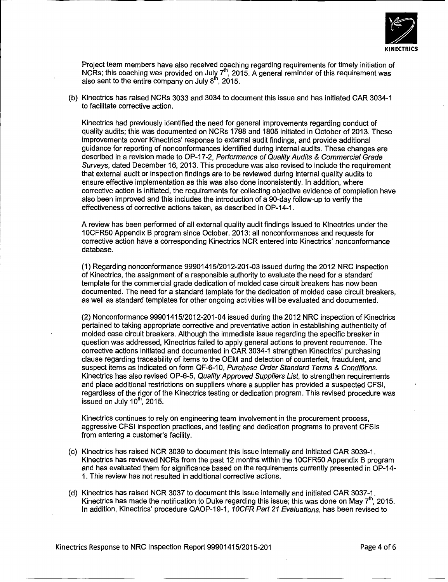

Project team members have also received coaching regarding requirements for timely initiation of NCRs; this coaching was provided on July  $7<sup>th</sup>$ , 2015. A general reminder of this requirement was also sent to the entire company on July  $8<sup>th</sup>$ , 2015.

(b) Kinectrics has raised NCRs 3033 and 3034 to document this issue and has initiated CAR 3034-1 to facilitate corrective action.

Kinectrics had previously identified the need for general improvements regarding conduct of quality audits; this was documented on NCRs 1798 and 1805 initiated in October of 2013. These improvements cover Kinectrics' response to external audit findings, and provide additional guidance for reporting of nonconformances identified during internal audits. These changes are described in a revision made to OP-I17-2, *Performance of Quality Audits & Commercial Grade Surveys,* dated December 16, 2013. This procedure was also revised to include the requirement that external audit or inspection findings are to be reviewed during internal quality audits to ensure effective implementation as this was also done inconsistently. In addition, where corrective action is initiated, the requirements for collecting objective evidence of completion have also been improved and this includes the introduction of a 90-day follow-up to verify the effectiveness of corrective actions taken, as described in OP-I14-1.

A review has been performed of all external quality audit findings issued to Kinectrics under the I10CFR50 Appendix B program since October, 2013: all nonconformances and requests for corrective action have a corresponding Kinectrics NCR entered into Kinectrics' nonconformance database.

(1) Regarding nonconformance 99901415/2012-201-03 issued during the 2012 NRC inspection of Kinectrics, the assignment of a responsible authority to evaluate the need for a standard template for the commercial grade dedication of molded case circuit breakers has now been documented. The need for a standard template for the dedication of molded case circuit breakers, as well as standard templates for other ongoing activities will be evaluated and documented.

(2) Nonconformance 99901415/2012-201-04 issued during the 2012 NRC inspection of Kinectrics pertained to taking appropriate corrective and preventative action in establishing authenticity of molded case circuit breakers. Although the immediate issue regarding the specific breaker in question was addressed, Kinectrics failed to apply general actions to prevent recurrence. The corrective actions initiated and documented in CAR 3034-1 strengthen Kinectrics' purchasing clause regarding traceability of items to the OEM and detection of counterfeit, fraudulent, and suspect items as indicated on form QF-6-10, *Purchase Order Standard Terms & Conditions*. Kinectrics has also revised OP-6-5, *Quality Approved Suppliers List,* to strengthen requirements and place additional restrictions on suppliers where a supplier has provided a suspected CFSI, regardless of the rigor of the Kinectrics testing or dedication program. This revised procedure was issued on July  $10<sup>th</sup>$ , 2015.

Kinectrics continues to rely on engineering team involvement in the procurement process, aggressive CESI inspection practices, and testing and dedication programs to prevent CFSIs from entering a customer's facility.

- (c) Kinectrics has raised NCR 3039 to document this issue internally and initiated CAR 3039-1. Kinectrics has reviewed NCRs from the past 12 months within the 10CFR50 Appendix B program and has evaluated them for significance based on the requirements currently presented in OP-14- 1. This review has not resulted in additional corrective actions.
- (d) Kinectrics has raised NCR 3037 to document this issue internally and initiated CAR 3037-1. Kinectrics has made the notification to Duke regarding this issue; this was done on May  $7<sup>th</sup>$ . 2015. In addition, Kinectrics' procedure QAOP-19-1, 10CFR Part 21 Evaluations, has been revised to

Kinectrics Response to NRC Inspection Report 99901415/2015-201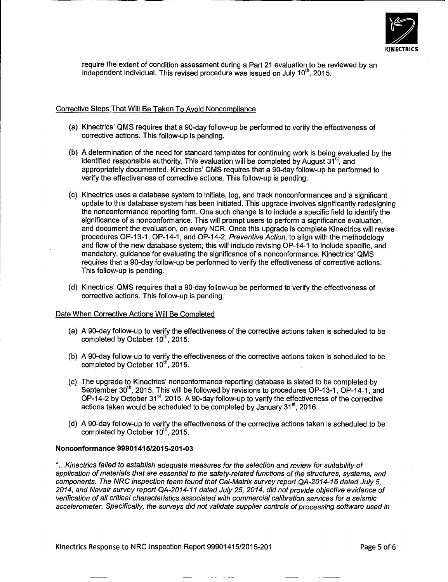

require the extent of condition assessment during a Part 21 evaluation to be reviewed by an independent individual. This revised procedure was issued on July 10<sup>th</sup>, 2015.

# Corrective Steps That Will Be Taken To Avoid Noncompliance

- (a) Kinectrics' QMS requires that a 90-day follow-up be performed to verify the effectiveness of corrective actions. This follow-up is pending.
- (b) A determination of the need for standard templates for continuing work is being evaluated by the identified responsible authority. This evaluation will be completed by August  $31<sup>st</sup>$ , and appropriately documented. Kinectrics' QMS requires that a 90-day follow-up be performed to verify the effectiveness of corrective actions. This follow-up is pending.
- (c) Kinectrics uses a database system to initiate, log, and track nonconformances and a significant update to this database system has been initiated. This upgrade involves significantly redesigning the nonconformance reporting form. One such change is to include a specific field to identify the significance of a nonconformance. This will prompt users to perform a significance evaluation, and document the evaluation, on every NCR. Once this upgrade is complete Kinectrics will revise procedures OP-I13-1, OP-I14-I, and OP-I14-2, *Preventive Action,* to align with the methodology and flow of the new database system; this will include revising OP-14-1 to include specific, and mandatory, guidance for evaluating the significance of a nonconformance. Kinectrics' QMS requires that a 90-day follow-up be performed to verify the effectiveness of corrective actions. This follow-up is pending.
- (d) Kinectrics' QMS requires that a 90-day follow-up be performed to verify the effectiveness of corrective actions. This follow-up is pending.

#### Date When Corrective Actions Will Be Completed

- (a) A 90-day follow-up to verify the effectiveness of the corrective actions taken is scheduled to be completed by October 10<sup>th</sup>, 2015.
- (b) A 90-day follow-up to verify the effectiveness of the corrective actions taken is scheduled to be completed by October 10<sup>th</sup>, 2015.
- (c) The upgrade to Kinectrics' nonconformance reporting database is slated to be completed by September 30<sup>th</sup>, 2015. This will be followed by revisions to procedures OP-13-1, OP-14-1, and OP-14-2 by October 31<sup>st</sup>, 2015. A 90-day follow-up to verify the effectiveness of the corrective actions taken would be scheduled to be completed by January 31<sup>st</sup>, 2016.
- (d) A 90-day follow-up to verify the effectiveness of the corrective actions taken is scheduled to be completed by October 10<sup>th</sup>, 2015.

### **Nonconformance 99901415/2015-201-03**

*"...Kinectrics failed to establish adequate measures for the selection and review for suitability of application of materials that are essential to the safety-related functions of the structures, systems, and components. The NRC inspection team found that Cal-Matrix survey report QA-2014-15 dated July 5,* 2014, and Navair survey report QA-2014-11 dated July 25, 2014, did not provide objective evidence of *verification of all critical characteristics associated with commercial calibration services for a seismic accelerometer. Specifically, the surveys did not validate supplier controls of processing software used in*